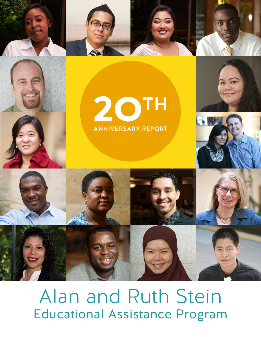



# **2OTH** ANNIVERSARY REPORT



Alan and Ruth Stein Educational Assistance Program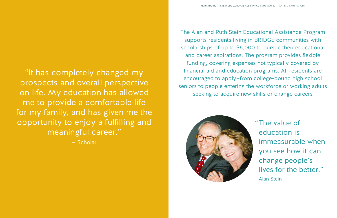The Alan and Ruth Stein Educational Assistance Program supports residents living in BRIDGE communities with scholarships of up to \$6,000 to pursue their educational and career aspirations. The program provides flexible funding, covering expenses not typically covered by financial aid and education programs. All residents are encouraged to apply—from college-bound high school seniors to people entering the workforce or working adults seeking to acquire new skills or change careers



"The value of education is immeasurable when you see how it can change people's lives for the better." —Alan Stein

"It has completely changed my prospects and overall perspective on life. My education has allowed me to provide a comfortable life for my family, and has given me the opportunity to enjoy a fulfilling and meaningful career."

— Scholar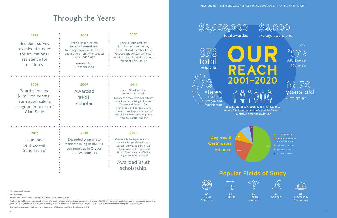#### Popular Fields of Study

- <sup>2</sup> www.hacla.org
- <sup>3</sup> 20 Stein and Colwell awards totaling \$100k have been awarded to-date

## Through the Years

<sup>1</sup> www.rebuildpotrero.com

<sup>4</sup> The Kent Colwell Scholarship, named in honor of a longtime friend and late Board member, has awarded \$217,000 to 14 scholars pursuing degrees in business and accounting. Scholars are eligible for up to four years of funding (\$10,000 each year) to use toward tuition, books, childcare and other expenses while pursuing their degree.

<sup>5</sup> Choice Neighborhoods | HUD.gov / U.S. Department of Housing and Urban Development (HUD)

**#3 Health Sciences** 



**#1** Social **Sciences** 

**#4 Science** 





| 1999                                                                                                             | 2001                                                                                                                                                                     | 2002                                                                                                                                                                                                                                                                                                                          |
|------------------------------------------------------------------------------------------------------------------|--------------------------------------------------------------------------------------------------------------------------------------------------------------------------|-------------------------------------------------------------------------------------------------------------------------------------------------------------------------------------------------------------------------------------------------------------------------------------------------------------------------------|
| <b>Resident survey</b><br>revealed the need<br>for educational<br>assistance for<br>residents                    | Scholarship program<br>launched, named after<br>founding Chairman Alan Stein<br>and his wife Ruth, who seeded<br>the first \$100,000<br>Awarded first<br>10 scholarships | Special scholarships:<br>Los Padrinos, funded by<br>former Board member Ernie<br>Vasquez and African American<br>Achievement, funded by Board<br>member Ray Carlisle                                                                                                                                                          |
| 2008                                                                                                             | 2009                                                                                                                                                                     | 2014                                                                                                                                                                                                                                                                                                                          |
| <b>Board allocated</b><br>\$1 million windfall<br>from asset sale to<br>program in honor of<br><b>Alan Stein</b> | Awarded<br><b>100th</b><br>scholar                                                                                                                                       | Raised \$1 million since<br>scholarship launch<br>Expanded scholarship opportunity<br>to all residents living in Potrero<br>Terrace and Annex in San<br>Francisco <sup>1</sup> , and Jordan Downs<br>in Watts, Los Angeles <sup>2</sup> , as part of<br>BRIDGE's commitment to public<br>housing transformation. <sup>3</sup> |
| 2017                                                                                                             | 2018                                                                                                                                                                     | 2020                                                                                                                                                                                                                                                                                                                          |
| Launched<br><b>Kent Colwell</b><br>Scholarship <sup>4</sup>                                                      | Expanded program to<br>residents living in BRIDGE<br>communities in Oregon<br>and Washington                                                                             | 10 new scholarships created and<br>set aside for residents living in<br>Jordan Downs, as part of U.S.<br>Department of Housing and<br>Urban Development's Choice<br>Neighborhoods Initiative <sup>5</sup>                                                                                                                     |
|                                                                                                                  |                                                                                                                                                                          | Awarded 375th                                                                                                                                                                                                                                                                                                                 |
|                                                                                                                  |                                                                                                                                                                          | scholarship!                                                                                                                                                                                                                                                                                                                  |



**\$4,800** average award size

**\$2,059,000** total awarded

3

**#2** Nursing

**#5** Business & Accounting

25% Black, 28% Hispanic, 18% White, 16% Asian, 9% Another race, 4% Middle Eastern, 2% Native American/Alaskan

> BACHELOR'S DEGREE **O** VOCATIONAL OR TRADE SCHOOL CERTIFICATE

- ASSOCIATE'S DEGREE
- **MASTER'S DEGREE**
- DOCTORATE DEGREE

**16-70** years old 27 average age

Degrees & **Certificates** Attained



ن<br>م

3%

57%

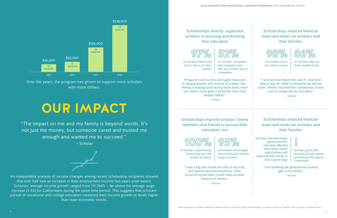# **OUR IMPACT**

"The impact on me and my family is beyond words. It's not just the money, but someone cared and trusted me enough and wanted me to succeed."

— Scholar



Over the years, the program has grown to support more scholars with more dollars.



An independent analysis of income changes among recent scholarship recipients showed that over half saw an increase in their employment income two years post-award. Scholars' average income growth ranged from 111-284% — far above the average wage increase (3-5%) for Californians during the same time period. This suggests that scholars' pursuit of vocational and college education catalyzed their income growth to levels higher than state economic trends.

"I was a big role model not only to my kids, but almost everyone around us…I feel proud of myself that I could make positive impacts on others."

— Scholar

Scholars grew their incomes at rates above and beyond the typical Californian<sup>6</sup>

"Programs such as this are hugely important in helping people with dreams of a better life... Having a helping hand during those times when you need it most goes a lot farther than most people realize."

— Scholar

"I was worried about how and if I would be able to pay for what my financial aid did not cover. When I received this scholarship, it took a lot of weight off my shoulders."

— Scholar

"I am breaking the generational poverty gap in my family."

— Scholar









**95%**



### **!**

of scholars have more time to focus on their studies

of scholars unanimously shared they are role models to others

of scholars worry less about money

Scholars overwhelmingly agreed that their education afforded them better career opportunities and supported their ability to earn a good wage

of scholars completed their programs and 39% are on their way to completion

of scholars encouraged their friends and families to go to school

of scholars take out fewer student loans

#### Scholarships directly supported scholars in pursuing and finishing their education

Scholarships inspired scholars' family members and friends to pursue their education, too

#### Scholarships reduced financial strain and stress on scholars and their families

Scholarships reduced financial strain and stress on scholars and their families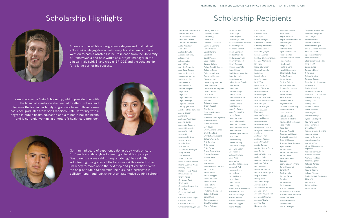Shane completed his undergraduate degree and maintained a 3.9 GPA while juggling a part-time job and a family. Shane went on to earn a Master's in neuroscience from the University of Pennsylvania and now works as a project manager in the clinical trials field. Shane credits BRIDGE and the scholarship for a large part of his success.

Karen received a Stein Scholarship, which provided her with the financial assistance she needed to attend school and become the first in her family to graduate from college. Karen has since graduated from San Francisco State University with a degree in public health education and a minor in holistic health and is currently working at a nonprofit health care provider.





German had years of experience doing body work on cars for friends and through volunteering at local body shops. "My parents always said to keep studying," he said. "By volunteering, I've gotten all the hands-on skills needed. Now I'm ready to move on to the next step and get certified." With the help of a Stein Scholarship, he pursued a certificate in collision repair and refinishing at an automotive training school. Abdurrahman Aburwein Adetola Williams

## Scholarship Highlights Scholarship Recipients

Adi Duenas Alvarez Afroz Banu Mirza Ahmed Abdul Wahid Aisha Malakzay Alan Chu Aleksis Livshits Alexandria Ferrey Allison Hon Allison Wine Amy Alfaro Amy K. Chavarria Ana Gaby Orozco Anahita Soroushi Anayeli Hernandez Andebrhan Elfu Andre Helms Andrea Ozuna Andrew Kingwell Angel Lam Angela Li Angela Maweu Angela Xhurape Angeline Leonard Anh Nguyen Tran Anisha Pathak Benjamin Anlora Gipson Anna Kho Anthony Pamintuan Antoine Davis Antoinette Sanders Araceli Hernandez Arezoo Sayflari Arfat Adil Arryonna Pinkney Arthur Okorie Arya Kashani Asal Bastani Assadollah Assadyari Avery Ardent Aza Tetelman Azeb T. Kidane Brett Jonathan Bieber Briana Guerrero-Vega Brittany Rivas Britteny Floyd-Mayo Bryan Harrison Cheryl Perez Chi Young Park Chim Lung ChocaLee, L. Mathieu Chris Cao Christian Madrigal Mukal Christina Flores Lopez Christina Phan Christine B. Baker Christopher Nguyen Cao Daniel Situ Danielle T Jackson Danyom Berhane Dario Salcido David Deharo David Hill David Parsons Daya Predon Dayana Salazar Delara Derakhshanian DeLonzo Pope Delores Jackson Demarco Hargrove Diana Abrams Diane Wing See Lee Dina Smirnova Dionshane'e Campbell Dosbal Aibyek Du H Tran Edelawite Tefera Edishoo Babaamanesyan Ehsan Yousefi Elia Rubio Elizabeth Hodges-Penalozo Elizabeth Joy Kingsbury Elizabeth Mora Elizah Wainaina Elsy Teyer Emily Annette Limas Emily Sandoval Enkhbat Munkhbold Ephrem Tewolde Erik Sanchez Erika Lopez Erika Tuhwe Ernest Sadovnikov Ernesto Robledo Ethan Phwan Etta Lee Eva Munoz Ezihe Akudo Ekpemiro Faraz Ozlati Farhat Noori Farzan Mojgani Fatima Fuentes Fatima Roldan Felicia Shaw Frank Brogan Fredonia Thompson Gabriella Nunez Genai Renz German Arango Gina Davenport Girma Tadesse

Christy Van Waas Courtney Warren Curt Leong Gloria Lemus

Gloria Lopez Gloria Trujillo Gwendolyn Love Halla Alexandra Wallace Hana McQuinn Harmona Beshah Heath Bernstein Hedali Robledo Hedaya Aburwein Henry Ostenoorf Henry Romero Hunter Lee Mills Iman Hebbar Imel Babaamaniesian Imperial Hyde Ivette Lorenzo Jaber Ansari Pegah Jafar Ahrar Jalil Sadat Jamion Wright Jane Hansen Jane Scarlett Kim Jawad Hebbar Jazelle Lynette Washington Jennifer Cortez Jennifer Kenning Jesse Taylor Jessica Correa Jessica Fernandez Jessica L. Salcedo Jessica Rene Romero Jessica Reyes Jewelle Alyse Brown Ji W. Shin Jiawei Huang Jiawen Huang Jibranh N. Ortega Jocelynn Eaton Joe Vazquez Johnny Segovia Jose Avila Jose Uribe Josefina Villavicencio Joseph S Pak Jourdan Clark Joy J. Bao Joy Williams Joyce Lopez Julia Garcia Julie Liang Karen Ivania Monterroso Katherine A. Dias Kathryn Robarge Katrina Nelson Kaylah Hernandez Kenneth Riggins Kerrin Moote

Kevin Safaie Keyvan Farhad Kien Ngo Killian Metzger Kimberley R. Reed Kimberly McArthur LaDonna Bonner Larisa Kolyvayko Laseana James Lemlem Ghebremakiam Leonids Markusins Lin Hein Lisset Stevenson Lizbeth Robledo Lori Jang Lourdes Best Luis Cervantes Luxi Wan Lydia Esparza Mahlet Shenkute Maksim Fudym Maral Aibyek Maria A. Gonzales Maria Consuelo Arana Mariah Sapp Mariam Nabiyar Mariana Anahi Rodriguez Mariana Salazar Marlena Nicolas Martha Martin Martha McBlair Maryam Ghorbani Maryman Nazarlazar ordshahi Matthew Fray **Matthew Metzger** Maua Nyamkeky Maxim Smirnov Maxine Umeh-Garcia Meg Davis Mehari Teklebrehan Melanie Wine Melissa Diaze-Uribe Melodee Celise Michael Lam Michele E. Bryant Michelle Farshidpour Miguel Dimas Mindy Tons Miranda Cariaga Mirwais Sahak Mohammad Yousefi Monica Ferrey Monique Angela Hill Monserrat Cuevas Mouncef Lazim Moying Tsui Naeyeon Kim

Naomi Embleton Nazir Noori Negar Jesmani Negar Natalie Ghayoumi Neomi Square Nergal Issaie Netsanet Kifle Ngan "Ashley" Cao Nicole Gaston Niesha Lazette Gooden Nima Kashani Nishtha Jolly Norlisha Long Nzechi Nwaokoro Olga Lidia Sedano Pablo Chavez Parvin Ansari Patricia Calderon Paula Carrasquillo Phuong Tri Nguyen Portia Jackson Ramin Farhad Ramses Cerda Raquel Fiorello Regina Porras Rhianna Marie Craig Rhonda Roberts Rizza Gordon Robert Triplett Rokiah F Cutkelvin Romina Eliehordoshahi Rosa Prieto Rose Baty Roxanne Suzuki Roxanne Wilkinson Rozina Hossainkhil Ruka Al-Hassan Ruzanna Agadzhanova Ryan Hansen Sabrina Fields Sabrina M. Simmons Sabrina West Sade Jacquelyn Jackson Saemi Bodam Whang Sahar Khooshab Sahar Saffi Saide Aguilar Sandra Okoye Sara Koss Sarah Derho Saul Jacobo Scedric Jackson Seblewongel Shenkute Shamari Inola Alexander Shane Carl Allen Shanice Mitchell Shannon Lee Shaun Geahigan

Shayonni Rollersmith Sherolyn Sampson Shirin Asgari Shiva Ghavami Shonte Johnson Siham Merzougui Sonia Melinda Vizcarra Soosan Zahedi Spozhmai Nabiyar Stanislava Paina Stephanie Lynn Boggs Sueper Beh Susan Boles Susanna Zheng T Mwaura Talitha Saldivar Tamekia Eugene Tanesha Nicole Jacobo Tara Gharai Taylor Mansir Teneedsha Hendrix Thanh Truc Thi Nguyen Theresa Huoang Tiffany Clay Tiffany Davis Tishira Metcalfe Travis Esparza Trent Taylor Tresean Bishop Tyson P. Bizzigotti Tzu Feng Leung Uriel Hernandez Uyen Huynh Vanesa Jimena DeHaro Vanessa Lopez Vanessa Tamayo Veronica Medina Veronica Perez Victor Alfonso Avina Espinoza Victoria Daryoush William Atkinson Xiomara Hartzler Yesenia Aguilar Yolanda Johson Yonis Mudley Younis Nabiyar Yuliana Morales Yvette Arroyo-Agredano Zhiyin Yi Zita Arinze Zohal Nabiyar Zohra Sadat

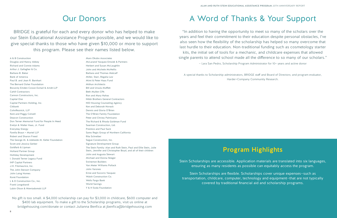A & B Construction Douglas and Nancy Abbey Richard and Connie Adams Arthur J. Gallagher & Co. Barbara B. Bakar Bank of America Paul B. and Jean R. Barnhart The Bernard Osher Foundation Bocarsly Emden Cowan Esmail & Arndt LLP Cahill Contractors Cannon Constructors, Inc. Capital One Capital Partners Holding, Inc. Citibank CohnReznick, LLP Kent and Peggy Colwell Deacon Construction Don Terner Memorial Fund for People In Need Evelyn & Walter Haas, Jr. Fund Everyday Energy Farella Braun + Martel LLP Robert and Sharon Freed The George M. & Adelaide M. Keller Foundation Scott and Jessica Gerber Goldfarb & Lipman Holland Partner Group Holliday Development I. Donald Terner Legacy Fund IHP Capital Partners J.H. Fitzmaurice, Inc. The John Stewart Company John Laing Homes Koret Foundation L & D Construction Co., Inc. Frank Longobardi Lubin Olson & Niewiadomski LLP

Marx Okubo Associates McLarand Vasquez Emsiek & Partners Herbert and Susan McLaughlin John and Michele McNellis Barbara and Thomas Metcalf Miller, Starr, Regalia Law Mimi & Peter Haas Fund Mithun Architects Bill and Ursula Moffett Beth Mullen CPA Ron and Mary Nahas Nibbi Brothers General Contractors NID Housing Counseling Agency Ken and Deborah Novack Dennis and Gloria O'Brien The O'Brien Family Foundation Peter and Christy Palmisano The Richard & Rhoda Goldman Fund Saarman Construction, Ltd. Prentice and Paul Sack Sares Regis Group of Northern California Rita Schreiber Segue Construction, Inc. Signature Development Group The Stein Family: Alan and Ruth Stein, Paul and Ellie Stein, Julie Stein, Jennifer and Christopher Boyd, and all of their children John and Augusta Stewart Michael and Donna Stieger Swinerton Builders Van Meter Williams Pollack John Varones Ernie and Socorro Vasquez Walsh Construction Co. Wells Fargo Bank World Savings Y & H Soda Foundation

"In addition to having the opportunity to meet so many of the scholars over the years and feel their commitment to their education despite personal obstacles, I've also seen how the flexibility of the scholarship has helped so many overcome that last hurdle to their education. Non-traditional funding such as cosmetology starter kits, the initial set of tools for a mechanic, and childcare expenses that allowed single parents to attend school made all the difference to so many of our scholars." — Lara San Pedro, Scholarship Program Administrator for 10+ years and active donor

A special thanks to Scholarship administrators, BRIDGE staff and Board of Directors; and program evaluator, Harder+Company Community Research.

BRIDGE is grateful for each and every donor who has helped to make our Stein Educational Assistance Program possible, and we would like to give special thanks to those who have given \$10,000 or more to support this program. Please see their names listed below.

No gift is too small. A \$4,000 scholarship can pay for \$3,000 in childcare, \$600 computer and \$400 lab equipment. To make a gift to the Scholarship programs, visit us online at [bridgehousing.com/donate](https://www.bridgehousing.com/donate) or contact Julianna Benfica at [jbenfica@bridgehousing.com](mailto:jbenfica@bridgehousing.com)

# A Word of Thanks & Your Support

## Our Donors

Stein Scholarships are accessible. Application materials are translated into six languages, ensuring as many residents as possible can equitably access the program.

Stein Scholarships are flexible. Scholarships cover unique expenses—such as transportation, childcare, computer, technology and equipment—that are not typically covered by traditional financial aid and scholarship programs.

### Program Highlights